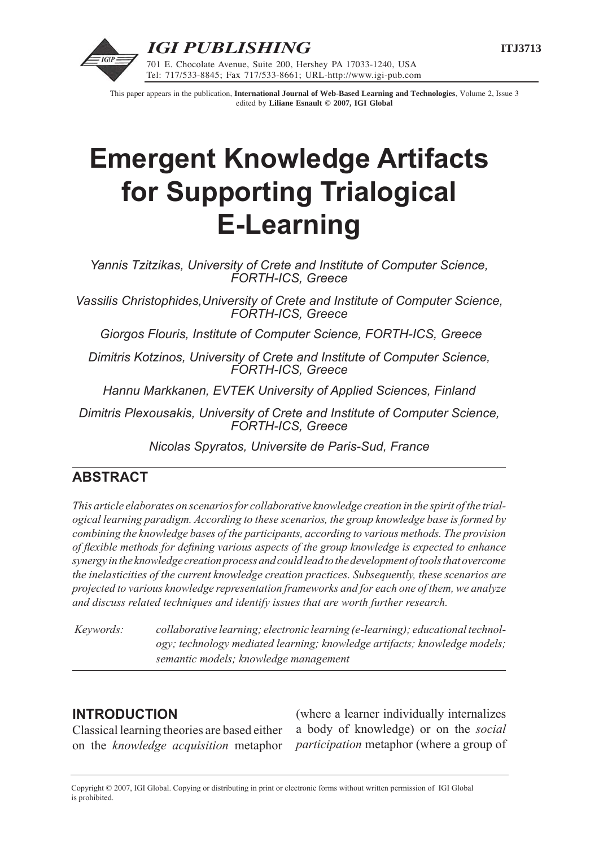

This paper appears in the publication, **International Journal of Web-Based Learning and Technologies**, Volume 2, Issue 3 edited by **Liliane Esnault © 2007, IGI Global**

# **Emergent Knowledge Artifacts for Supporting Trialogical E-Learning**

*Yannis Tzitzikas, University of Crete and Institute of Computer Science, FORTH-ICS, Greece*

*Vassilis Christophides,University of Crete and Institute of Computer Science, FORTH-ICS, Greece*

 *Giorgos Flouris, Institute of Computer Science, FORTH-ICS, Greece*

*Dimitris Kotzinos, University of Crete and Institute of Computer Science, FORTH-ICS, Greece*

*Hannu Markkanen, EVTEK University of Applied Sciences, Finland*

*Dimitris Plexousakis, University of Crete and Institute of Computer Science, FORTH-ICS, Greece*

*Nicolas Spyratos, Universite de Paris-Sud, France*

# **ABSTRACT**

*This article elaborates on scenarios for collaborative knowledge creation in the spirit of the trialogical learning paradigm. According to these scenarios, the group knowledge base is formed by combining the knowledge bases of the participants, according to various methods. The provision of flexible methods for defining various aspects of the group knowledge is expected to enhance synergy in the knowledge creation process and could lead to the development of tools that overcome the inelasticities of the current knowledge creation practices. Subsequently, these scenarios are projected to various knowledge representation frameworks and for each one of them, we analyze and discuss related techniques and identify issues that are worth further research.*

*Keywords: collaborative learning; electronic learning (e-learning); educational technology; technology mediated learning; knowledge artifacts; knowledge models; semantic models; knowledge management*

# **InTRoduCTIon**

Classical learning theories are based either on the *knowledge acquisition* metaphor (where a learner individually internalizes a body of knowledge) or on the *social participation* metaphor (where a group of

Copyright © 2007, IGI Global. Copying or distributing in print or electronic forms without written permission of IGI Global is prohibited.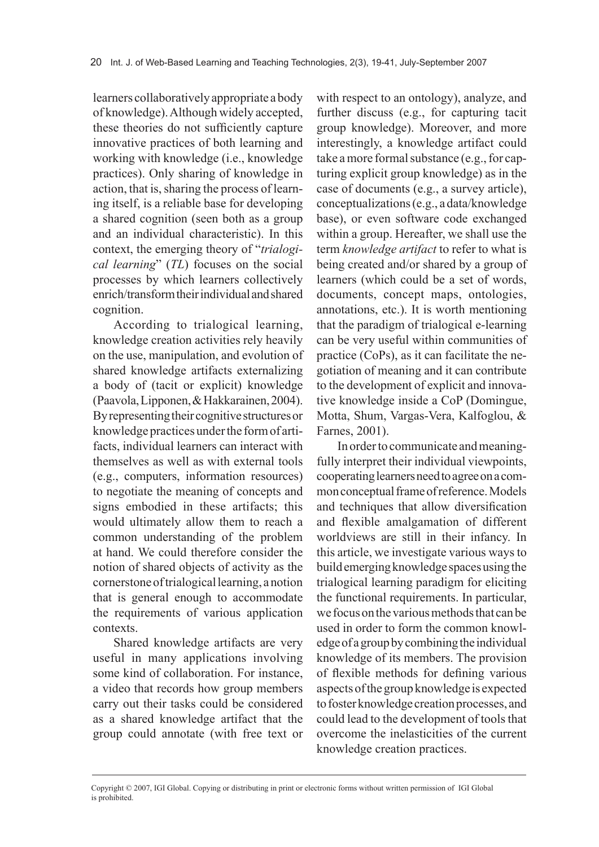learners collaboratively appropriate a body of knowledge). Although widely accepted, these theories do not sufficiently capture innovative practices of both learning and working with knowledge (i.e., knowledge practices). Only sharing of knowledge in action, that is, sharing the process of learning itself, is a reliable base for developing a shared cognition (seen both as a group and an individual characteristic). In this context, the emerging theory of "*trialogical learning*" (*TL*) focuses on the social processes by which learners collectively enrich/transform their individual and shared cognition.

According to trialogical learning, knowledge creation activities rely heavily on the use, manipulation, and evolution of shared knowledge artifacts externalizing a body of (tacit or explicit) knowledge (Paavola, Lipponen, & Hakkarainen, 2004). By representing their cognitive structures or knowledge practices under the form of artifacts, individual learners can interact with themselves as well as with external tools (e.g., computers, information resources) to negotiate the meaning of concepts and signs embodied in these artifacts; this would ultimately allow them to reach a common understanding of the problem at hand. We could therefore consider the notion of shared objects of activity as the cornerstone of trialogical learning, a notion that is general enough to accommodate the requirements of various application contexts.

Shared knowledge artifacts are very useful in many applications involving some kind of collaboration. For instance, a video that records how group members carry out their tasks could be considered as a shared knowledge artifact that the group could annotate (with free text or

with respect to an ontology), analyze, and further discuss (e.g., for capturing tacit group knowledge). Moreover, and more interestingly, a knowledge artifact could take a more formal substance (e.g., for capturing explicit group knowledge) as in the case of documents (e.g., a survey article), conceptualizations (e.g., a data/knowledge base), or even software code exchanged within a group. Hereafter, we shall use the term *knowledge artifact* to refer to what is being created and/or shared by a group of learners (which could be a set of words, documents, concept maps, ontologies, annotations, etc.). It is worth mentioning that the paradigm of trialogical e-learning can be very useful within communities of practice (CoPs), as it can facilitate the negotiation of meaning and it can contribute to the development of explicit and innovative knowledge inside a CoP (Domingue, Motta, Shum, Vargas-Vera, Kalfoglou, & Farnes, 2001).

In order to communicate and meaningfully interpret their individual viewpoints, cooperating learners need to agree on a common conceptual frame of reference. Models and techniques that allow diversification and flexible amalgamation of different worldviews are still in their infancy. In this article, we investigate various ways to build emerging knowledge spaces using the trialogical learning paradigm for eliciting the functional requirements. In particular, we focus on the various methods that can be used in order to form the common knowledge of a group by combining the individual knowledge of its members. The provision of flexible methods for defining various aspects of the group knowledge is expected to foster knowledge creation processes, and could lead to the development of tools that overcome the inelasticities of the current knowledge creation practices.

Copyright © 2007, IGI Global. Copying or distributing in print or electronic forms without written permission of IGI Global is prohibited.